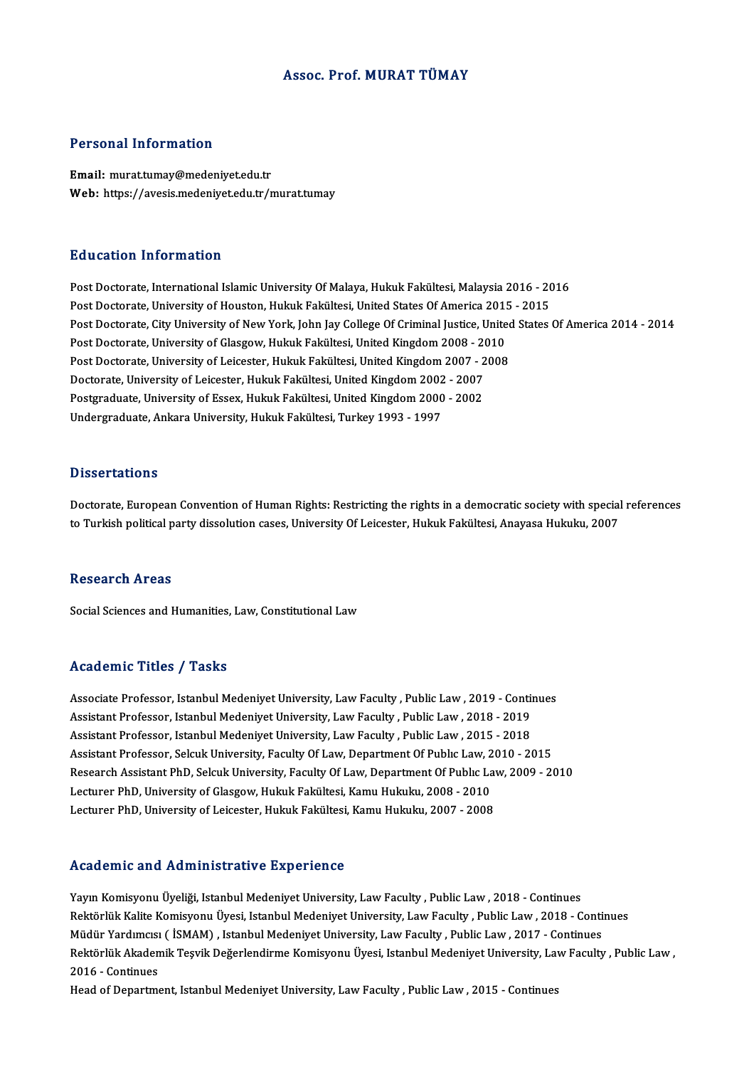#### Assoc. Prof.MURAT TÜMAY

#### Personal Information

Email: murat.tumay@medeniyet.edu.tr Web: https://avesis.medeniyet.edu.tr/murat.tumay

#### Education Information

**Education Information<br>Post Doctorate, International Islamic University Of Malaya, Hukuk Fakültesi, Malaysia 2016 - 2016<br>Post Doctorate, University of Houston, Hukuk Fakültesi, United States Of America 2015 - 2015** Post Doctorate, International Islamic University Of Malaya, Hukuk Fakültesi, Malaysia 2016 - 20<br>Post Doctorate, University of Houston, Hukuk Fakültesi, United States Of America 2015 - 2015<br>Post Doctorate, City University o Post Doctorate, International Islamic University Of Malaya, Hukuk Fakültesi, Malaysia 2016 - 2016<br>Post Doctorate, University of Houston, Hukuk Fakültesi, United States Of America 2015 - 2015<br>Post Doctorate, City University Post Doctorate, University of Houston, Hukuk Fakültesi, United States Of America 201!<br>Post Doctorate, City University of New York, John Jay College Of Criminal Justice, Unite<br>Post Doctorate, University of Glasgow, Hukuk Fa Post Doctorate, City University of New York, John Jay College Of Criminal Justice, United<br>Post Doctorate, University of Glasgow, Hukuk Fakültesi, United Kingdom 2008 - 2010<br>Post Doctorate, University of Leicester, Hukuk Fa Post Doctorate, University of Glasgow, Hukuk Fakültesi, United Kingdom 2008 - 2010<br>Post Doctorate, University of Leicester, Hukuk Fakültesi, United Kingdom 2007 - 2008<br>Doctorate, University of Leicester, Hukuk Fakültesi, U Post Doctorate, University of Leicester, Hukuk Fakültesi, United Kingdom 2007 - 2<br>Doctorate, University of Leicester, Hukuk Fakültesi, United Kingdom 2002 - 2007<br>Postgraduate, University of Essex, Hukuk Fakültesi, United K Doctorate, University of Leicester, Hukuk Fakültesi, United Kingdom 2002<br>Postgraduate, University of Essex, Hukuk Fakültesi, United Kingdom 2000<br>Undergraduate, Ankara University, Hukuk Fakültesi, Turkey 1993 - 1997 Undergraduate, Ankara University, Hukuk Fakültesi, Turkey 1993 - 1997<br>Dissertations

Doctorate, European Convention of Human Rights: Restricting the rights in a democratic society with special references to Turkish political party dissolution cases, University Of Leicester, Hukuk Fakültesi, Anayasa Hukuku, 2007

#### Research Areas

Social Sciences and Humanities, Law, Constitutional Law

#### Academic Titles / Tasks

Academic Titles / Tasks<br>Associate Professor, Istanbul Medeniyet University, Law Faculty , Public Law , 2019 - Continues<br>Assistant Professor, Istanbul Medeniyet University, Law Faculty , Public Law , 2019 - 2010 Associate Professor, Istanbul Medeniyet University, Law Faculty , Public Law , 2019 - Contin<br>Assistant Professor, Istanbul Medeniyet University, Law Faculty , Public Law , 2018 - 2019<br>Assistant Professor, Istanbul Medeniye Associate Professor, Istanbul Medeniyet University, Law Faculty , Public Law , 2019 - Contin<br>Assistant Professor, Istanbul Medeniyet University, Law Faculty , Public Law , 2018 - 2019<br>Assistant Professor, Istanbul Medeniye Assistant Professor, Istanbul Medeniyet University, Law Faculty , Public Law , 2018 - 2019<br>Assistant Professor, Istanbul Medeniyet University, Law Faculty , Public Law , 2015 - 2018<br>Assistant Professor, Selcuk University, Assistant Professor, Istanbul Medeniyet University, Law Faculty , Public Law , 2015 - 2018<br>Assistant Professor, Selcuk University, Faculty Of Law, Department Of Public Law, 2010 - 2015<br>Research Assistant PhD, Selcuk Univer Assistant Professor, Selcuk University, Faculty Of Law, Department Of Public Law, 2<br>Research Assistant PhD, Selcuk University, Faculty Of Law, Department Of Public La<br>Lecturer PhD, University of Leisester, Hukuk Fakültesi, Research Assistant PhD, Selcuk University, Faculty Of Law, Department Of Public Law, 2009 - 2010<br>Lecturer PhD, University of Glasgow, Hukuk Fakültesi, Kamu Hukuku, 2008 - 2010<br>Lecturer PhD, University of Leicester, Hukuk F

#### Academic and Administrative Experience

Academic and Administrative Experience<br>Yayın Komisyonu Üyeliği, Istanbul Medeniyet University, Law Faculty , Public Law , 2018 - Continues<br>Rektörlük Kalite Komisyonu Üyesi, Istanbul Medeniyet University, Law Faculty, Publi Rektörlük Kalite Komisyonu Üyesi, Istanbul Medeniyet University, Law Faculty , Public Law, 2018 - Continues Yayın Komisyonu Üyeliği, Istanbul Medeniyet University, Law Faculty , Public Law , 2018 - Continues<br>Rektörlük Kalite Komisyonu Üyesi, Istanbul Medeniyet University, Law Faculty , Public Law , 2018 - Conti<br>Müdür Yardımcısı Rektörlük Akademik Teşvik Değerlendirme Komisyonu Üyesi, Istanbul Medeniyet University, Law Faculty , Public Law ,<br>2016 - Continues Müdür Yardımcısı (İSMAM), Istanbul Medeniyet University, Law Faculty, Public Law, 2017 - Continues

Head of Department, Istanbul Medeniyet University, Law Faculty , Public Law, 2015 - Continues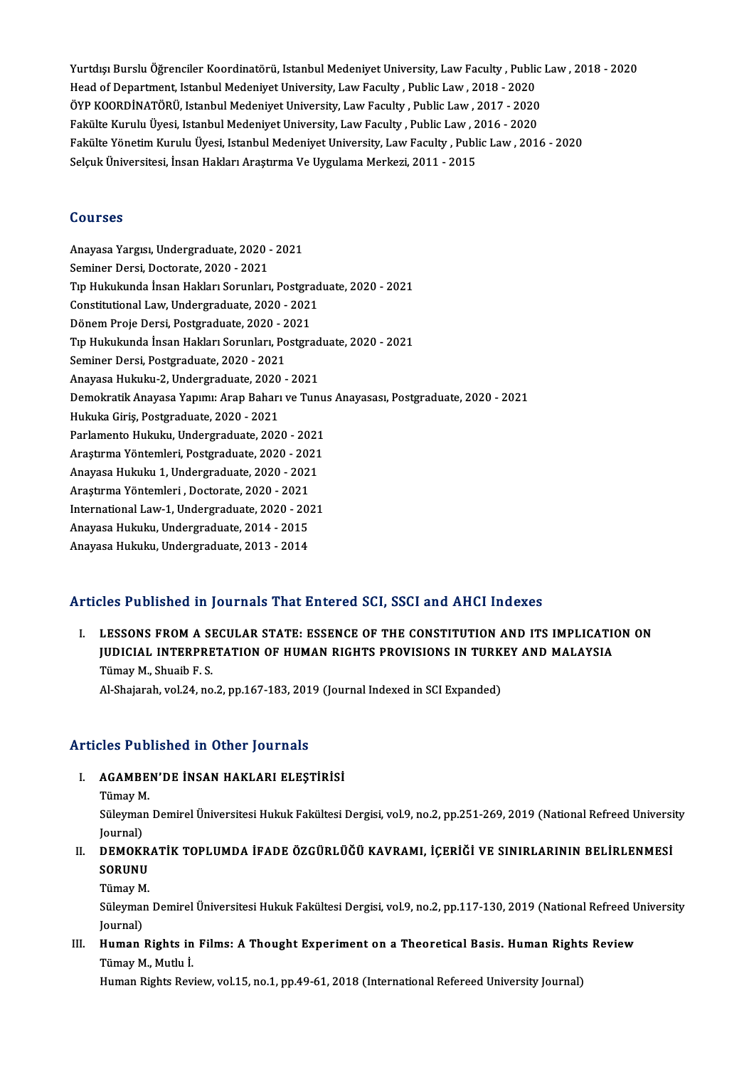Yurtdışı Burslu Öğrenciler Koordinatörü, Istanbul Medeniyet University, Law Faculty , Public Law , 2018 - 2020<br>Head of Depertment, Istanbul Medeniyet University J.aw Faculty, Public Law, 2018 - 2020 Yurtdışı Burslu Öğrenciler Koordinatörü, Istanbul Medeniyet University, Law Faculty , Public<br>Head of Department, Istanbul Medeniyet University, Law Faculty , Public Law , 2018 - 2020<br>ÖYR KOORDİNATÖRÜ, Jetanbul Medeniyet Un Yurtdışı Burslu Öğrenciler Koordinatörü, Istanbul Medeniyet University, Law Faculty , Public<br>Head of Department, Istanbul Medeniyet University, Law Faculty , Public Law , 2018 - 2020<br>ÖYP KOORDİNATÖRÜ, Istanbul Medeniyet Un Head of Department, Istanbul Medeniyet University, Law Faculty , Public Law , 2018 - 2020<br>ÖYP KOORDİNATÖRÜ, Istanbul Medeniyet University, Law Faculty , Public Law , 2017 - 2020 Fakülte Yönetim Kurulu Üyesi, Istanbul Medeniyet University, Law Faculty , Public Law , 2016 - 2020<br>Selçuk Üniversitesi, İnsan Hakları Araştırma Ve Uygulama Merkezi, 2011 - 2015 Fakülte Kurulu Üyesi, Istanbul Medeniyet University, Law Faculty, Public Law, 2016 - 2020

#### Courses

AnayasaYargısı,Undergraduate,2020 -2021 Seminer Dersi, Doctorate, 2020 - 2021 Anayasa Yargısı, Undergraduate, 2020 - 2021<br>Seminer Dersi, Doctorate, 2020 - 2021<br>Tıp Hukukunda İnsan Hakları Sorunları, Postgraduate, 2020 - 2021<br>Constitutional Law Undergraduate, 2020 - 2021 Seminer Dersi, Doctorate, 2020 - 2021<br>Tıp Hukukunda İnsan Hakları Sorunları, Postgrad<br>Constitutional Law, Undergraduate, 2020 - 2021<br>Dönem Preja Dergi, Bestsraduate, 2020 - 2021 Tıp Hukukunda İnsan Hakları Sorunları, Postgra<br>Constitutional Law, Undergraduate, 2020 - 2021<br>Dönem Proje Dersi, Postgraduate, 2020 - 2021<br>Tın Hulpılaında İnsan Hakları Sorunları, Bostgra Constitutional Law, Undergraduate, 2020 - 2021<br>Dönem Proje Dersi, Postgraduate, 2020 - 2021<br>Tıp Hukukunda İnsan Hakları Sorunları, Postgraduate, 2020 - 2021<br>Seminer Dersi, Postgraduate, 2020 - 2021 Dönem Proje Dersi, Postgraduate, 2020 - 2021 Tıp Hukukunda İnsan Hakları Sorunları, Postgrad<br>Seminer Dersi, Postgraduate, 2020 - 2021<br>Anayasa Hukuku-2, Undergraduate, 2020 - 2021<br>Demolmatik Anayasa Yanımu Aran Baharı ve Tunı Demokratik Anayasa Yapımı: Arap Baharı ve Tunus Anayasası, Postgraduate, 2020 - 2021<br>Hukuka Giris, Postgraduate, 2020 - 2021 Anayasa Hukuku-2, Undergraduate, 2020<br>Demokratik Anayasa Yapımı: Arap Baharı<br>Hukuka Giriş, Postgraduate, 2020 - 2021<br>Parlamanta Hululuy, Undergraduate, 202 Demokratik Anayasa Yapımı: Arap Baharı ve Tunu:<br>Hukuka Giriş, Postgraduate, 2020 - 2021<br>Parlamento Hukuku, Undergraduate, 2020 - 2021<br>Arastuma Väntemleri, Bostgraduate, 2020 - 2021 Hukuka Giriş, Postgraduate, 2020 - 2021<br>Parlamento Hukuku, Undergraduate, 2020 - 2021<br>Araştırma Yöntemleri, Postgraduate, 2020 - 2021<br>Anayasa Hukuku 1, Undergraduate, 2020 - 2021 Parlamento Hukuku, Undergraduate, 2020 - 2021<br>Araştırma Yöntemleri, Postgraduate, 2020 - 2021<br>Anayasa Hukuku 1, Undergraduate, 2020 - 2021<br>Arastırma Yöntemleri, Dostorate, 2020 - 2021 Araştırma Yöntemleri, Postgraduate, 2020 - 2021<br>Anayasa Hukuku 1, Undergraduate, 2020 - 2021<br>Araştırma Yöntemleri , Doctorate, 2020 - 2021 Anayasa Hukuku 1, Undergraduate, 2020 - 2021<br>Araştırma Yöntemleri , Doctorate, 2020 - 2021<br>International Law-1, Undergraduate, 2020 - 2021<br>Anayasa Hukuku Undergraduata 2014, 2015 Araştırma Yöntemleri , Doctorate, 2020 - 2021<br>International Law-1, Undergraduate, 2020 - 20.<br>Anayasa Hukuku, Undergraduate, 2014 - 2015<br>Anayasa Hukuku, Undergraduate, 2012 - 2014 Anayasa Hukuku, Undergraduate, 2014 - 2015<br>Anayasa Hukuku, Undergraduate, 2013 - 2014

# Anayasa Hukuku, Undergraduate, 2013 - 2014<br>Articles Published in Journals That Entered SCI, SSCI and AHCI Indexes

Turicles Published in Journals That Entered SCI, SSCI and AHCI Indexes<br>I. LESSONS FROM A SECULAR STATE: ESSENCE OF THE CONSTITUTION AND ITS IMPLICATION ON<br>UIDICIAL INTERPRETATION OF HUMAN RIGHTS PROVISIONS IN TURKEY AND MA ITES I RESISTING IN JORFHRIS THRE ENTERTED OF JEER CONSTITUTION AND ITS IMPLICATI<br>LESSONS FROM A SECULAR STATE: ESSENCE OF THE CONSTITUTION AND ITS IMPLICATI<br>JUDICIAL INTERPRETATION OF HUMAN RIGHTS PROVISIONS IN TURKEY AND LESSONS FROM A SI<br>JUDICIAL INTERPRE<br>Tümay M., Shuaib F. S.<br>Al Shaiarah wal 24, no. JUDICIAL INTERPRETATION OF HUMAN RIGHTS PROVISIONS IN TURK<br>Tümay M., Shuaib F. S.<br>Al-Shajarah, vol.24, no.2, pp.167-183, 2019 (Journal Indexed in SCI Expanded) Al-Shajarah, vol.24, no.2, pp.167-183, 2019 (Journal Indexed in SCI Expanded)<br>Articles Published in Other Journals

- Tticles Published in Other Journals<br>I. AGAMBEN'DE İNSAN HAKLARI ELEŞTİRİSİ<br>Tümev M AGAMBE<br>AGAMBE<br>Tümay M.
	- Tümay M.

Süleyman Demirel Üniversitesi Hukuk Fakültesi Dergisi, vol.9, no.2, pp.251-269, 2019 (National Refreed University<br>Journal) Süleyman Demirel Üniversitesi Hukuk Fakültesi Dergisi, vol.9, no.2, pp.251-269, 2019 (National Refreed Universi<br>Journal)<br>II. DEMOKRATİK TOPLUMDA İFADE ÖZGÜRLÜĞÜ KAVRAMI, İÇERİĞİ VE SINIRLARININ BELİRLENMESİ<br>SOPUNU

## Journal)<br><mark>DEMOKR</mark><br>SORUNU<br>Tümev M **DEMOKR<br>SORUNU<br>Tümay M.<br>Süleyman**

SORUNU<br>Tümay M.<br>Süleyman Demirel Üniversitesi Hukuk Fakültesi Dergisi, vol.9, no.2, pp.117-130, 2019 (National Refreed University Tümay M<br>Süleymai<br>Journal)<br>Human Süleyman Demirel Üniversitesi Hukuk Fakültesi Dergisi, vol.9, no.2, pp.117-130, 2019 (National Refreed U<br>Journal)<br>III. Human Rights in Films: A Thought Experiment on a Theoretical Basis. Human Rights Review<br>Tümev M. Muthy

## Journal)<br>III. Human Rights in Films: A Thought Experiment on a Theoretical Basis. Human Rights Review<br>Tümay M., Mutlu İ.

Human Rights Review, vol.15, no.1, pp.49-61, 2018 (International Refereed University Journal)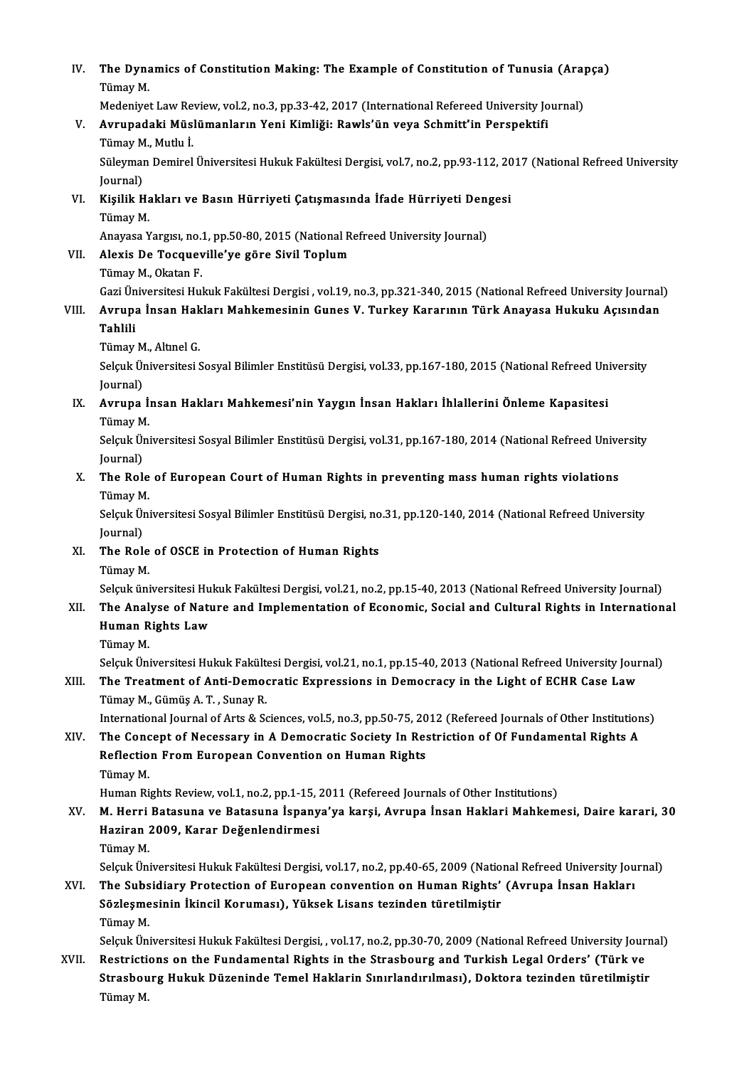| IV.   | The Dynamics of Constitution Making: The Example of Constitution of Tunusia (Arapça)<br>Tümay M.                             |
|-------|------------------------------------------------------------------------------------------------------------------------------|
|       | Medeniyet Law Review, vol.2, no.3, pp.33-42, 2017 (International Refereed University Journal)                                |
| V.    | Avrupadaki Müslümanların Yeni Kimliği: Rawls'ün veya Schmitt'in Perspektifi<br>Tümay M., Mutlu İ.                            |
|       | Süleyman Demirel Üniversitesi Hukuk Fakültesi Dergisi, vol.7, no.2, pp.93-112, 2017 (National Refreed University<br>Journal) |
| VI.   | Kişilik Hakları ve Basın Hürriyeti Çatışmasında İfade Hürriyeti Dengesi                                                      |
|       | Tümay M.                                                                                                                     |
|       | Anayasa Yargısı, no.1, pp.50-80, 2015 (National Refreed University Journal)                                                  |
| VII.  | Alexis De Tocqueville'ye göre Sivil Toplum                                                                                   |
|       | Tümay M., Okatan F.                                                                                                          |
|       | Gazi Üniversitesi Hukuk Fakültesi Dergisi, vol.19, no.3, pp.321-340, 2015 (National Refreed University Journal)              |
| VIII. | Avrupa İnsan Hakları Mahkemesinin Gunes V. Turkey Kararının Türk Anayasa Hukuku Açısından<br><b>Tahlili</b>                  |
|       | Tümay M., Altınel G.                                                                                                         |
|       | Selçuk Üniversitesi Sosyal Bilimler Enstitüsü Dergisi, vol.33, pp.167-180, 2015 (National Refreed University<br>Journal)     |
| IX.   | Avrupa İnsan Hakları Mahkemesi'nin Yaygın İnsan Hakları İhlallerini Önleme Kapasitesi<br>Tümay M.                            |
|       | Selçuk Üniversitesi Sosyal Bilimler Enstitüsü Dergisi, vol.31, pp.167-180, 2014 (National Refreed University                 |
|       | Journal)                                                                                                                     |
| Х.    | The Role of European Court of Human Rights in preventing mass human rights violations                                        |
|       | Tümay M.                                                                                                                     |
|       | Selçuk Üniversitesi Sosyal Bilimler Enstitüsü Dergisi, no.31, pp.120-140, 2014 (National Refreed University                  |
|       | Journal)                                                                                                                     |
| XI.   | The Role of OSCE in Protection of Human Rights                                                                               |
|       | Tümay M.                                                                                                                     |
|       | Selçuk üniversitesi Hukuk Fakültesi Dergisi, vol.21, no.2, pp.15-40, 2013 (National Refreed University Journal)              |
| XII.  | The Analyse of Nature and Implementation of Economic, Social and Cultural Rights in International                            |
|       | Human Rights Law                                                                                                             |
|       | Tümay M.                                                                                                                     |
|       | Selçuk Üniversitesi Hukuk Fakültesi Dergisi, vol.21, no.1, pp.15-40, 2013 (National Refreed University Journal)              |
| XIII. | The Treatment of Anti-Democratic Expressions in Democracy in the Light of ECHR Case Law                                      |
|       | Tümay M., Gümüş A. T., Sunay R.                                                                                              |
|       | International Journal of Arts & Sciences, vol.5, no.3, pp.50-75, 2012 (Refereed Journals of Other Institutions)              |
| XIV.  | The Concept of Necessary in A Democratic Society In Restriction of Of Fundamental Rights A                                   |
|       | Reflection From European Convention on Human Rights                                                                          |
|       | Tümay M.                                                                                                                     |
|       | Human Rights Review, vol.1, no.2, pp.1-15, 2011 (Refereed Journals of Other Institutions)                                    |
| XV.   | M. Herri Batasuna ve Batasuna İspanya'ya karşi, Avrupa İnsan Haklari Mahkemesi, Daire karari, 30                             |
|       | Haziran 2009, Karar Değenlendirmesi                                                                                          |
|       | Tümay M.                                                                                                                     |
|       | Selçuk Üniversitesi Hukuk Fakültesi Dergisi, vol.17, no.2, pp.40-65, 2009 (National Refreed University Journal)              |
| XVI.  | The Subsidiary Protection of European convention on Human Rights' (Avrupa Insan Hakları                                      |
|       | Sözleşmesinin İkincil Koruması), Yüksek Lisans tezinden türetilmiştir                                                        |
|       | Tümay M.                                                                                                                     |
|       | Selçuk Üniversitesi Hukuk Fakültesi Dergisi, , vol.17, no.2, pp.30-70, 2009 (National Refreed University Journal)            |
| XVII. | Restrictions on the Fundamental Rights in the Strasbourg and Turkish Legal Orders' (Türk ve                                  |
|       | Strasbourg Hukuk Düzeninde Temel Haklarin Sınırlandırılması), Doktora tezinden türetilmiştir                                 |
|       | Tümay M.                                                                                                                     |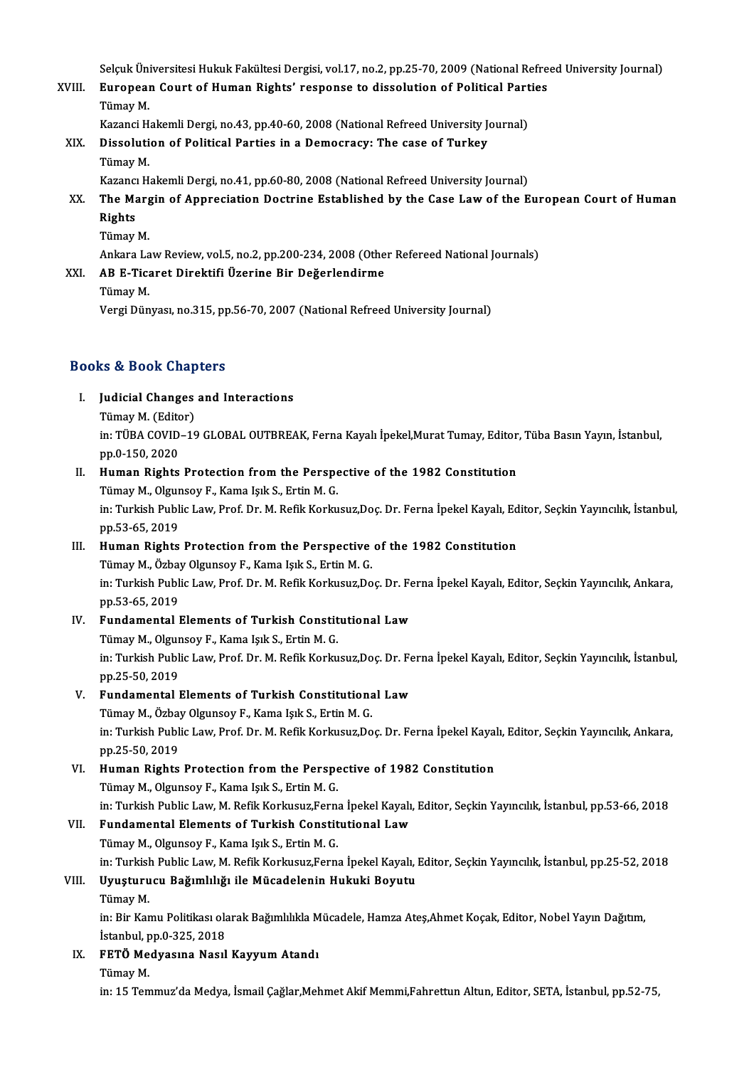Selçuk Üniversitesi Hukuk Fakültesi Dergisi, vol.17, no.2, pp.25-70, 2009 (National Refreed University Journal)<br>Eunopean Court of Human Bighte' negnonge to dissolution of Bolitical Barties

Selçuk Üniversitesi Hukuk Fakültesi Dergisi, vol.17, no.2, pp.25-70, 2009 (National Refre<br>XVIII. European Court of Human Rights' response to dissolution of Political Parties<br>Tümev M Selçuk Üni<br><mark>Europeai</mark><br>Tümay M.<br>*Vers*orei H European Court of Human Rights' response to dissolution of Political Parties<br>Tümav M.

Kazanci Hakemli Dergi, no.43, pp.40-60, 2008 (National Refreed University Journal)

### XIX. Dissolution of Political Parties in a Democracy: The case of Turkey Dissolution of Political Parties in a Democracy: The case of Turkey<br>Tümay M.<br>Kazancı Hakemli Dergi, no.41, pp.60-80, 2008 (National Refreed University Journal)<br>The Margin of Annregiation Destrine Established by the Gase La

- Tümay M.<br>Kazancı Hakemli Dergi, no.41, pp.60-80, 2008 (National Refreed University Journal)<br>XX. The Margin of Appreciation Doctrine Established by the Case Law of the European Court of Human<br>Rights Kazanci<br>The Ma<br>Rights<br>Tümay The Marg<br>Rights<br>Tümay M.<br>Ankara La Rights<br>Tümay M.<br>Ankara Law Review, vol.5, no.2, pp.200-234, 2008 (Other Refereed National Journals)<br>AP E Tisaret Direktifi Üzerine Pir Değerlendirme
	-

### Tümay M.<br>Ankara Law Review, vol.5, no.2, pp.200-234, 2008 (Othe<br>XXI. AB E-Ticaret Direktifi Üzerine Bir Değerlendirme<br>Tümay M. Ankara La<br>**AB E-Tica<br><sub>Tümay M.<br>Vergi Dün**</sub>

Vergi Dünyası, no.315, pp.56-70, 2007 (National Refreed University Journal)

#### Books&Book Chapters

ooks & Book Chapters<br>I. Judicial Changes and Interactions<br>Timey M (Editon) Is a Book diap<br>Judicial Changes<br>Tümay M. (Editor)<br>in: TÜBA COVID 16 Judicial Changes and Interactions<br>Tümay M. (Editor)<br>in: TÜBA COVID–19 GLOBAL OUTBREAK, Ferna Kayalı İpekel,Murat Tumay, Editor, Tüba Basın Yayın, İstanbul,<br>pp.0.150.2020 Tümay M. (Edito<br>in: TÜBA COVID<br>pp.0-150, 2020<br>Human Bights in: TÜBA COVID-19 GLOBAL OUTBREAK, Ferna Kayalı İpekel,Murat Tumay, Editor<br>pp.0-150, 2020<br>II. Human Rights Protection from the Perspective of the 1982 Constitution<br>Tümay M. Okungay E. Kama Jak S. Ertin M. G.

# pp.0-150, 2020<br>Human Rights Protection from the Perspe<br>Tümay M., Olgunsoy F., Kama Işık S., Ertin M. G.<br>in: Turkish Bublis Law Brof, Dr. M. Bofik Korku

Human Rights Protection from the Perspective of the 1982 Constitution<br>Tümay M., Olgunsoy F., Kama Işık S., Ertin M. G.<br>in: Turkish Public Law, Prof. Dr. M. Refik Korkusuz,Doç. Dr. Ferna İpekel Kayalı, Editor, Seçkin Yayınc Tümay M., Olgur<br>in: Turkish Publ<br>pp.53-65, 2019<br>Human Bights in: Turkish Public Law, Prof. Dr. M. Refik Korkusuz, Doç. Dr. Ferna İpekel Kayalı, Ed<br>pp.53-65, 2019<br>III. Human Rights Protection from the Perspective of the 1982 Constitution<br>Tümev M. Örkey Olayneev E. Kama Jak S. Extin M

pp.53-65, 2019<br>Human Rights Protection from the Perspective<br>Tümay M., Özbay Olgunsoy F., Kama Işık S., Ertin M. G.<br>in: Turkish Publis Law Prof. Dr. M. Bofik Karlusur Do Tümay M., Özbay Olgunsoy F., Kama Işık S., Ertin M. G.<br>in: Turkish Public Law, Prof. Dr. M. Refik Korkusuz,Doç. Dr. Ferna İpekel Kayalı, Editor, Seçkin Yayıncılık, Ankara, pp.53-65,2019 in: Turkish Public Law, Prof. Dr. M. Refik Korkusuz, Doç. Dr. Fe<br>pp.53-65, 2019<br>IV. Fundamental Elements of Turkish Constitutional Law

### pp.53-65, 2019<br>Fundamental Elements of Turkish Constit<br>Tümay M., Olgunsoy F., Kama Işık S., Ertin M. G.<br>in: Turkish Publis Law Pref. Dr. M. Befik Korku Tümay M., Olgunsoy F., Kama Işık S., Ertin M. G.

in: Turkish Public Law, Prof. Dr. M. Refik Korkusuz,Doç. Dr. Ferna İpekel Kayalı, Editor, Seçkin Yayıncılık, İstanbul,<br>pp.25-50, 2019 in: Turkish Public Law, Prof. Dr. M. Refik Korkusuz,Doç. Dr. Fe<br>pp.25-50, 2019<br>V. Fundamental Elements of Turkish Constitutional Law<br>Tümev M. Örbey Olungev E. Kame Jak S. Extin M. C.

pp.25-50, 2019<br>Fundamental Elements of Turkish Constitutiona<br>Tümay M., Özbay Olgunsoy F., Kama Işık S., Ertin M. G.<br>in: Turkish Publis Law, Prof. Dr. M. Pofik Korlusur Do in: Turkish Public Law, Prof. Dr. M. Refik Korkusuz,Doç. Dr. Ferna İpekel Kayalı, Editor, Seçkin Yayıncılık, Ankara,<br>pp.25-50, 2019 Tümay M., Özbay Olgunsoy F., Kama Işık S., Ertin M. G. in: Turkish Public Law, Prof. Dr. M. Refik Korkusuz, Doç. Dr. Ferna İpekel Kayal<br>pp.25-50, 2019<br>VI. Human Rights Protection from the Perspective of 1982 Constitution<br>Tümey M. Okungov E. Kama Juk S. Ertin M. C.

### pp.25-50, 2019<br>Human Rights Protection from the Perspe<br>Tümay M., Olgunsoy F., Kama Işık S., Ertin M. G.<br>in: Turkish Publis Law, M. Bofik Kerlusur Fern Human Rights Protection from the Perspective of 1982 Constitution<br>Tümay M., Olgunsoy F., Kama Işık S., Ertin M. G.<br>in: Turkish Public Law, M. Refik Korkusuz,Ferna İpekel Kayalı, Editor, Seçkin Yayıncılık, İstanbul, pp.53-6 Tümay M., Olgunsoy F., Kama Işık S., Ertin M. G.<br>in: Turkish Public Law, M. Refik Korkusuz,Ferna İpekel Kayal<br>VII. Fundamental Elements of Turkish Constitutional Law<br>Tümay M., Olgunsoy F., Kama Isık S., Ertin M. G.

in: Turkish Public Law, M. Refik Korkusuz,Ferna<br>Fundamental Elements of Turkish Constit<br>Tümay M., Olgunsoy F., Kama Işık S., Ertin M. G.<br>in: Turkish Public Low, M. Refik Korkusuz Fern Fundamental Elements of Turkish Constitutional Law<br>Tümay M., Olgunsoy F., Kama Işık S., Ertin M. G.<br>in: Turkish Public Law, M. Refik Korkusuz,Ferna İpekel Kayalı, Editor, Seçkin Yayıncılık, İstanbul, pp.25-52, 2018<br>Umaturu in: Turkis<mark>)</mark><br>**Uyuşturu**<br>Tümay M.<br>in: <sup>Pin Kor</sub></sup>

#### VIII. Uyuşturucu Bağımlılığı ile Mücadelenin Hukuki Boyutu<br>Tümay M.

Uyuşturucu Bağımlılığı ile Mücadelenin Hukuki Boyutu<br>Tümay M.<br>in: Bir Kamu Politikası olarak Bağımlılıkla Mücadele, Hamza Ateş,Ahmet Koçak, Editor, Nobel Yayın Dağıtım,<br>İstanbul np.0.325.2019 Tümay M.<br>in: Bir Kamu Politikası ola<br>İstanbul, pp.0-325, 2018<br>EETÖ Modyasına Nasıl İstanbul, pp 0-325, 2018

### IX. FETÖ Medyasına Nasıl Kayyum Atandı<br>Tümay M.

in: 15 Temmuz'da Medya, İsmail Çağlar,Mehmet Akif Memmi,Fahrettun Altun, Editor, SETA, İstanbul, pp.52-75,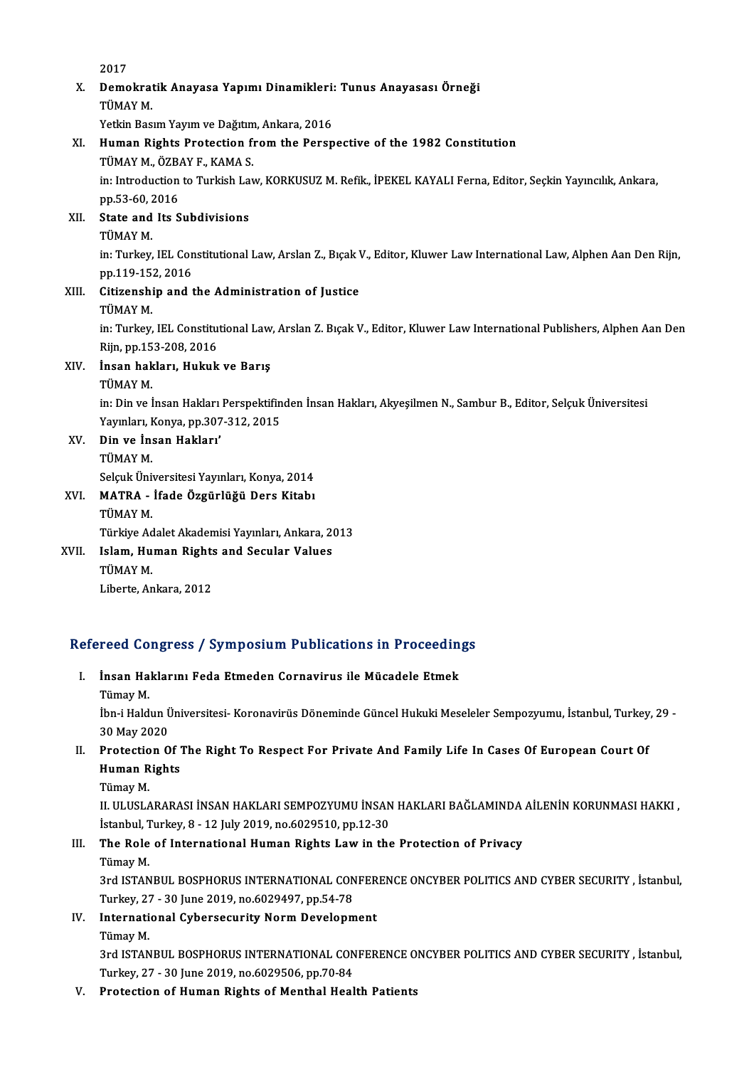2017

2017<br>X. Demokratik Anayasa Yapımı Dinamikleri: Tunus Anayasası Örneği<br>TÜMAY M 2017<br>Demokrat<br>TÜMAY M.<br>Vetkin Bas Demokratik Anayasa Yapımı Dinamikleri:<br>TÜMAY M.<br>Yetkin Basım Yayım ve Dağıtım, Ankara, 2016<br>Human Birbta Protestion from the Beren

Yetkin Basım Yayım ve Dağıtım, Ankara, 2016

#### TÜMAY M.<br>Yetkin Basım Yayım ve Dağıtım, Ankara, 2016<br>XI. Human Rights Protection from the Perspective of the 1982 Constitution<br>TÜMAY M., ÖZBAY F., KAMA S. Human Rights Protection from the Perspective of the 1982 Constitution<br>TÜMAY M., ÖZBAY F., KAMA S.<br>in: Introduction to Turkish Law, KORKUSUZ M. Refik., İPEKEL KAYALI Ferna, Editor, Seçkin Yayıncılık, Ankara,<br>nn 53 60 2016 TÜMAY M., ÖZB.<br>in: Introduction<br>pp.53-60, 2016<br>State and Its S pp.53-60, 2016

XII. State and Its Subdivisions<br>TÜMAY M. State and Its Subdivisions<br>TÜMAY M.<br>in: Turkey, IEL Constitutional Law, Arslan Z., Bıçak V., Editor, Kluwer Law International Law, Alphen Aan Den Rijn,<br>nn 119 152 2016 TÜMAY M.<br>in: Turkey, IEL Con<br>pp.119-152, 2016<br>Sitizanshin and t in: Turkey, IEL Constitutional Law, Arslan Z., Bıçak V<br>pp.119-152, 2016<br>XIII. Citizenship and the Administration of Justice<br>TUMAY M

# pp.119-15:<br><mark>Citizensh</mark>i<br>TÜMAY M.<br>in: Turkov.

Citizenship and the Administration of Justice<br>TÜMAY M.<br>in: Turkey, IEL Constitutional Law, Arslan Z. Bıçak V., Editor, Kluwer Law International Publishers, Alphen Aan Den<br>Bijn, pp.152.208.2016 TÜMAY M.<br>in: Turkey, IEL Constitu<br>Rijn, pp.153-208, 2016<br>Incan hakları, Hukuk Rijn, pp 153-208, 2016

### XIV. İnsan hakları, Hukuk ve Barış

İnsan hakları, Hukuk ve Barış<br>TÜMAY M.<br>in: Din ve İnsan Hakları Perspektifinden İnsan Hakları, Akyeşilmen N., Sambur B., Editor, Selçuk Üniversitesi<br>Yayınları, Kanya pp.207.212.2015 TÜMAY M.<br>in: Din ve İnsan Hakları Perspektifin<br>Yayınları, Konya, pp.307-312, 2015<br>Din ve İnsan Hakları' Yayınları, Konya, pp.307-312, 2015

XV. Din ve İnsan Hakları' Din ve İnsan Hakları'<br>TÜMAY M.<br>Selçuk Üniversitesi Yayınları, Konya, 2014<br>MATRA - İfade Özgürlüğü Ders Kitabı

#### XVI. MATRA - İfade Özgürlüğü Ders Kitabı Selçuk Üni<br>MATRA -<br>TÜMAY M.<br>Türkiye Ad MATRA - İfade Özgürlüğü Ders Kitabı<br>TÜMAY M.<br>Türkiye Adalet Akademisi Yayınları, Ankara, 2013<br>Jelam, Human Bights and Sasular Values

XVII. Islam, Human Rights and Secular Values<br>TÜMAY M. Türkiye Ad<br>I<mark>slam, Hu</mark><br>TÜMAY M.<br>Liberte Ar Liberte, Ankara, 2012

# Liberte, Ankara, 2012<br>Refereed Congress / Symposium Publications in Proceedings

efereed Congress / Symposium Publications in Proceedin<br>I. İnsan Haklarını Feda Etmeden Cornavirus ile Mücadele Etmek<br>Tümey M I. İnsan Haklarını Feda Etmeden Cornavirus ile Mücadele Etmek<br>Tümay M.

İnsan Haklarını Feda Etmeden Cornavirus ile Mücadele Etmek<br>Tümay M.<br>İbn-i Haldun Üniversitesi- Koronavirüs Döneminde Güncel Hukuki Meseleler Sempozyumu, İstanbul, Turkey, 29 -<br>20 May 2020 Tümay M.<br>İbn-i Haldun Ü<br>30 May 2020<br>Protection O Ibn-i Haldun Üniversitesi- Koronavirüs Döneminde Güncel Hukuki Meseleler Sempozyumu, İstanbul, Turkey<br>30 May 2020<br>II. Protection Of The Right To Respect For Private And Family Life In Cases Of European Court Of<br>Human Pickt

## 30 May 2020<br>Protection Of<br>Human Rights<br>Tümay M Protectio<br>Human R<br>Tümay M.<br>U. ULUSI 4

Human Rights<br>Tümay M.<br>II. ULUSLARARASI İNSAN HAKLARI SEMPOZYUMU İNSAN HAKLARI BAĞLAMINDA AİLENİN KORUNMASI HAKKI ,<br>İstanbul Turkov & .12 July 2019 no.6029510 nn.12.20 Tümay M.<br>II. ULUSLARARASI İNSAN HAKLARI SEMPOZYUMU İNSAN<br>İstanbul, Turkey, 8 - 12 July 2019, no.6029510, pp.12-30<br>The Bole of International Human Bights Law in the II. ULUSLARARASI İNSAN HAKLARI SEMPOZYUMU İNSAN HAKLARI BAĞLAMINDA<br>İstanbul, Turkey, 8 - 12 July 2019, no.6029510, pp.12-30<br>III. The Role of International Human Rights Law in the Protection of Privacy<br>Tümey M

# İstanbul, T<br>**The Role**<br>Tümay M.<br><sup>2rd ISTAN</sup>

The Role of International Human Rights Law in the Protection of Privacy<br>Tümay M.<br>3rd ISTANBUL BOSPHORUS INTERNATIONAL CONFERENCE ONCYBER POLITICS AND CYBER SECURITY , İstanbul,<br>Turkay 27 - 20 June 2019 ne 6020497 np 54 78 Tümay M.<br>3rd ISTANBUL BOSPHORUS INTERNATIONAL CON<br>Turkey, 27 - 30 June 2019, no.6029497, pp.54-78<br>International *Cubersequrity Norm Developm* 3rd ISTANBUL BOSPHORUS INTERNATIONAL CONFER<br>Turkey, 27 - 30 June 2019, no.6029497, pp.54-78<br>IV. International Cybersecurity Norm Development<br>Timou M

## Turkey, 27 - 30 June 2019, no.6029497, pp.54-78<br>IV. International Cybersecurity Norm Development<br>Tümay M.

International Cybersecurity Norm Development<br>Tümay M.<br>3rd ISTANBUL BOSPHORUS INTERNATIONAL CONFERENCE ONCYBER POLITICS AND CYBER SECURITY , İstanbul,<br>Turkay 27, -20 kuna 2019 na 6020506, np.70,84 Turkey, 27 - 30 June 2019, no.6029506, pp.70-84<br>V. Protection of Human Rights of Menthal Health Patients 3rd ISTANBUL BOSPHORUS INTERNATIONAL CONFERENCE O<br>Turkey, 27 - 30 June 2019, no.6029506, pp.70-84<br>V. Protection of Human Rights of Menthal Health Patients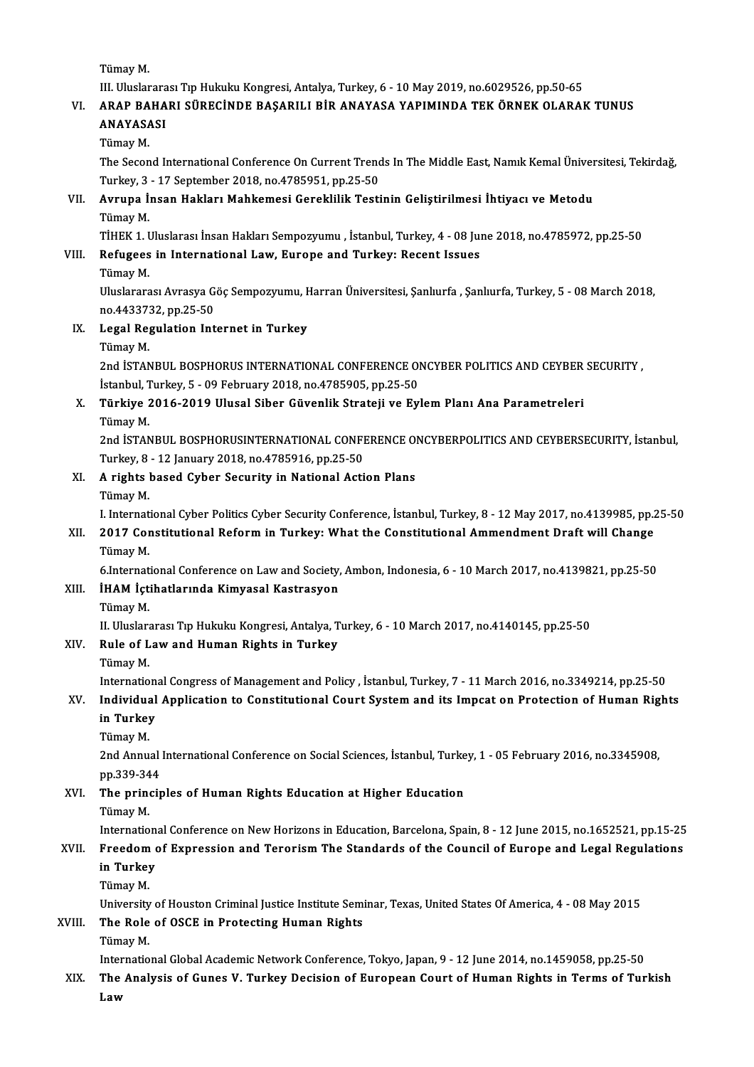TümayM.

III. Uluslararası Tıp Hukuku Kongresi, Antalya, Turkey, 6 - 10 May 2019, no.6029526, pp.50-65

### Tümay M.<br>III. Uluslararası Tıp Hukuku Kongresi, Antalya, Turkey, 6 - 10 May 2019, no.6029526, pp.50-65<br>VI. ARAP BAHARI SÜRECİNDE BAŞARILI BİR ANAYASA YAPIMINDA TEK ÖRNEK OLARAK TUNUS<br>ANAYASASI III. Uluslarara<br><mark>ARAP BAHA</mark><br>ANAYASASI ARAP BA<br>ANAYASA<br>Tümay M.<br>The Secon

ANAYASASI<br>Tümay M.<br>The Second International Conference On Current Trends In The Middle East, Namık Kemal Üniversitesi, Tekirdağ,<br>Turkay, 2, .17 Sontamber 2018, no.4795951, np.25,50. Tümay M.<br>The Second International Conference On Current Trend<br>Turkey, 3 - 17 September 2018, no.4785951, pp.25-50<br>Ayrung İnsan Hakları Mahkamasi Caraklilik Testi The Second International Conference On Current Trends In The Middle East, Namık Kemal Üniver<br>Turkey, 3 - 17 September 2018, no.4785951, pp.25-50<br>VII. Avrupa İnsan Hakları Mahkemesi Gereklilik Testinin Geliştirilmesi İh

### Turkey, 3<br>**Avrupa İ**:<br>Tümay M.<br>Türkk 1 T Avrupa İnsan Hakları Mahkemesi Gereklilik Testinin Geliştirilmesi İhtiyacı ve Metodu<br>Tümay M.<br>TİHEK 1. Uluslarası İnsan Hakları Sempozyumu , İstanbul, Turkey, 4 - 08 June 2018, no.4785972, pp.25-50<br>Refugees in Internationa Tümay M.<br>TİHEK 1. Uluslarası İnsan Hakları Sempozyumu , İstanbul, Turkey, 4 - 08 Jul<br>VIII. Refugees in International Law, Europe and Turkey: Recent Issues<br>Tümay M

# TİHEK 1. <mark>l</mark><br>Refugees<br>Tümay M.<br><sup>Hinelarara</sup>

Refugees in International Law, Europe and Turkey: Recent Issues<br>Tümay M.<br>Uluslararası Avrasya Göç Sempozyumu, Harran Üniversitesi, Şanlıurfa , Şanlıurfa, Turkey, 5 - 08 March 2018, Tümay M.<br>Uluslararası Avrasya G<br>no.4433732, pp.25-50<br>Legal Begulation Int

### IX. Legal Regulation Internet in Turkey<br>Tümay M. no.443373<br><mark>Legal Re</mark><br>Tümay M.<br>2nd ISTAN

Legal Regulation Internet in Turkey<br>Tümay M.<br>2nd İSTANBUL BOSPHORUS INTERNATIONAL CONFERENCE ONCYBER POLITICS AND CEYBER SECURITY ,<br>İstanbul Turkey 5, .00 Eshmuary 2019 ne.4795905, np.25,50. Tümay M.<br>2nd İSTANBUL BOSPHORUS INTERNATIONAL CONFERENCE OI<br>İstanbul, Turkey, 5 - 09 February 2018, no.4785905, pp.25-50<br>Türkiye 2016,2019, Ulusal Sibar Güyenlik Strataji ve Ev 2nd İSTANBUL BOSPHORUS INTERNATIONAL CONFERENCE ONCYBER POLITICS AND CEYBER<br>İstanbul, Turkey, 5 - 09 February 2018, no.4785905, pp.25-50<br>X. Türkiye 2016-2019 Ulusal Siber Güvenlik Strateji ve Eylem Planı Ana Parametreleri<br>

# İstanbul, T<br>**Türkiye**<br>Tümay M.<br>2nd İSTAN

Türkiye 2016-2019 Ulusal Siber Güvenlik Strateji ve Eylem Planı Ana Parametreleri<br>Tümay M.<br>2nd İSTANBUL BOSPHORUSINTERNATIONAL CONFERENCE ONCYBERPOLITICS AND CEYBERSECURITY, İstanbul,<br>Turkay 9, 12 January 2018 no 4795916 n Tümay M.<br>2nd İSTANBUL BOSPHORUSINTERNATIONAL CONFI<br>Turkey, 8 - 12 January 2018, no.4785916, pp.25-50<br>A rishte based Cyber Sesurity in National Asti 2nd ISTANBUL BOSPHORUSINTERNATIONAL CONFERENCE OF Turkey, 8 - 12 January 2018, no.4785916, pp.25-50<br>XI. A rights based Cyber Security in National Action Plans<br>Tümey M

# Turkey, 8<br>**A rights** 1<br>Tümay M.<br>LInternat

Tümay M.<br>I. International Cyber Politics Cyber Security Conference, İstanbul, Turkey, 8 - 12 May 2017, no.4139985, pp.25-50

#### Tümay M.<br>I. International Cyber Politics Cyber Security Conference, İstanbul, Turkey, 8 - 12 May 2017, no.4139985, pp.<br>XII. 2017 Constitutional Reform in Turkey: What the Constitutional Ammendment Draft will Change<br>Tü I. Internat<br>2017 Cor<br>Tümay M.<br>6 Internat 2017 Constitutional Reform in Turkey: What the Constitutional Ammendment Draft will Change<br>Tümay M.<br>6.International Conference on Law and Society, Ambon, Indonesia, 6 - 10 March 2017, no.4139821, pp.25-50<br>IHAM Istibatların Tümay M.<br>6.International Conference on Law and Society,<br>XIII. İHAM İçtihatlarında Kimyasal Kastrasyon<br>Tümev M

# 6.Internat<br>İHAM İçti<br>Tümay M.<br>U. Uluslar

Tümay M.<br>II. Uluslararası Tıp Hukuku Kongresi, Antalya, Turkey, 6 - 10 March 2017, no.4140145, pp.25-50

## Tümay M.<br>II. Uluslararası Tıp Hukuku Kongresi, Antalya, T<br>XIV. Rule of Law and Human Rights in Turkey II. Uluslara<br>**Rule of L<br>Tümay M.**<br>Internatio

Tümay M.<br>International Congress of Management and Policy , İstanbul, Turkey, 7 - 11 March 2016, no.3349214, pp.25-50

#### Tümay M.<br>International Congress of Management and Policy , İstanbul, Turkey, 7 - 11 March 2016, no.3349214, pp.25-50<br>XV. Individual Application to Constitutional Court System and its Impcat on Protection of Human Right Internation<br>Individual<br>in Turkey<br>Tümev M in Turkey<br>Tümay M.

i**n Turkey**<br>Tümay M.<br>2nd Annual International Conference on Social Sciences, İstanbul, Turkey, 1 - 05 February 2016, no.3345908,<br>nn <sup>220 244</sup>. Tümay M.<br>2nd Annual<br>pp.339-344<br>The princin 2nd Annual International Conference on Social Sciences, İstanbul, Turke<br>pp.339-344<br>XVI. The principles of Human Rights Education at Higher Education<br>Tümov M

# pp.339-34<br>**The prin**<br>Tümay M.<br>Internatio

The principles of Human Rights Education at Higher Education<br>Tümay M.<br>International Conference on New Horizons in Education, Barcelona, Spain, 8 - 12 June 2015, no.1652521, pp.15-25<br>Exasdem of Eunressian and Tenerism The S

#### Tümay M.<br>International Conference on New Horizons in Education, Barcelona, Spain, 8 - 12 June 2015, no.1652521, pp.15-25<br>XVII. Freedom of Expression and Terorism The Standards of the Council of Europe and Legal Regulat Internation<br>Freedom o<br>in Turkey<br>Tümev M Freedom<br>in Turkey<br>Tümay M.<br>University in Turkey<br>Tümay M.<br>University of Houston Criminal Justice Institute Seminar, Texas, United States Of America, 4 - 08 May 2015<br>The Bole of OSCE in Brotosting Human Bights

## Tümay M.<br>University of Houston Criminal Justice Institute Sem<br>XVIII. The Role of OSCE in Protecting Human Rights<br>Tümay M. University<br>The Role<br>Tümay M.<br>Internatio

International Global Academic Network Conference, Tokyo, Japan, 9 - 12 June 2014, no.1459058, pp.25-50

## Tümay M.<br>International Global Academic Network Conference, Tokyo, Japan, 9 - 12 June 2014, no.1459058, pp.25-50<br>XIX. The Analysis of Gunes V. Turkey Decision of European Court of Human Rights in Terms of Turkish Inter<br><mark>The</mark><br>Law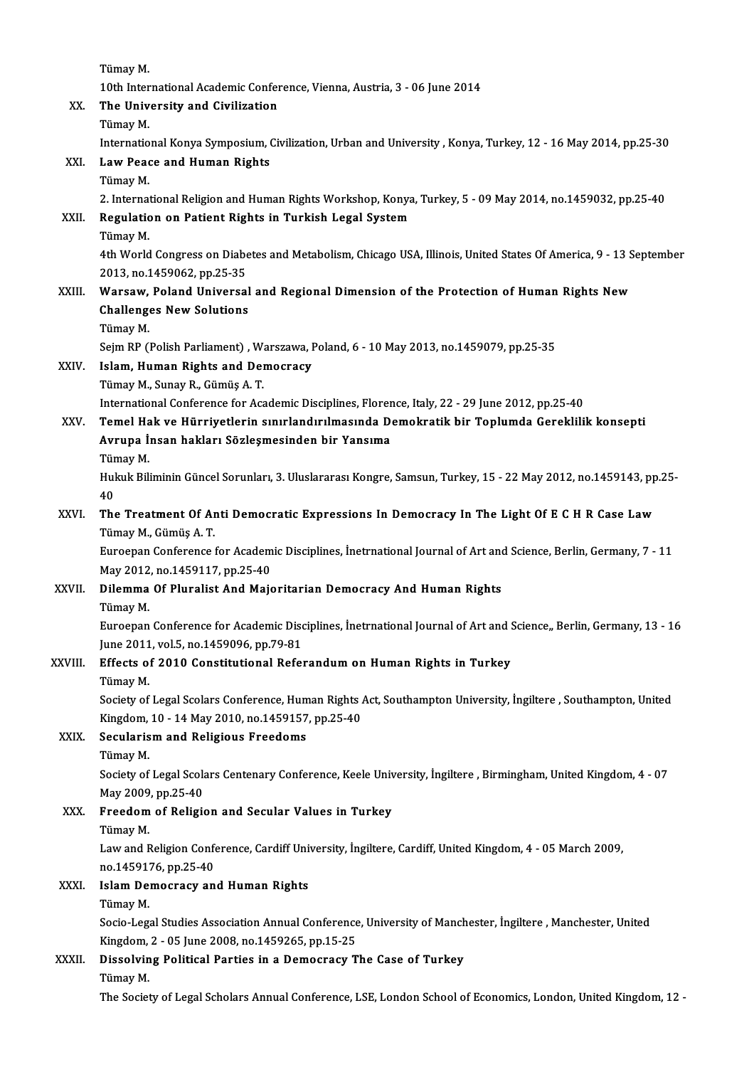TümayM.

10th International Academic Conference, Vienna, Austria, 3 - 06 June 2014

# Tümay M.<br>10th International Academic Confer<br>XX. The University and Civilization<br>Tümev M

10th Inter<br>The Univ<br>Tümay M.<br>Internatio

The University and Civilization<br>Tümay M.<br>International Konya Symposium, Civilization, Urban and University , Konya, Turkey, 12 - 16 May 2014, pp.25-30<br>Law Boass and Human Bishts

## Tümay M.<br>International Konya Symposium,<br>XXI. Law Peace and Human Rights<br>Tümay M. Internatio<br>Law Pead<br>Tümay M.<br>2. Internat

2. International Religion and Human Rights Workshop, Konya, Turkey, 5 - 09 May 2014, no.1459032, pp.25-40 Tümay M.<br>2. International Religion and Human Rights Workshop, Konya<br>XXII. Regulation on Patient Rights in Turkish Legal System<br>Tümev M 2. Internat<br><mark>Regulatic</mark><br>Tümay M.<br>4th World

Regulation on Patient Rights in Turkish Legal System<br>Tümay M.<br>4th World Congress on Diabetes and Metabolism, Chicago USA, Illinois, United States Of America, 9 - 13 September<br>2013, no 1450062, np.35, 35 Tümay M.<br>4th World Congress on Diabe<br>2013, no.1459062, pp.25-35<br>Warsaw, Boland Universal 4th World Congress on Diabetes and Metabolism, Chicago USA, Illinois, United States Of America, 9 - 13 S<br>2013, no.1459062, pp.25-35<br>XXIII. Warsaw, Poland Universal and Regional Dimension of the Protection of Human Rights N

### 2013, no.1459062, pp.25-35<br>Warsaw, Poland Universal<br>Challenges New Solutions<br>Tümev M Warsaw,<br>Challeng<br>Tümay M.<br>Soim PP (1 Challenges New Solutions<br>Tümay M.<br>Sejm RP (Polish Parliament) , Warszawa, Poland, 6 - 10 May 2013, no.1459079, pp.25-35<br>Jolam, Human Biskts and Damasyasy.

## Tümay M.<br>Sejm RP (Polish Parliament) , Warszawa, J<br>XXIV. Islam, Human Rights and Democracy<br>Tümay M., Sunay R., Gümüs A. T. Sejm RP (Polish Parliament) , W.<br>Islam, Human Rights and Dei<br>Tümay M., Sunay R., Gümüş A. T.<br>International Conference for Acc

International Conference for Academic Disciplines, Florence, Italy, 22 - 29 June 2012, pp.25-40

### Tümay M., Sunay R., Gümüş A. T.<br>International Conference for Academic Disciplines, Florence, Italy, 22 - 29 June 2012, pp.25-40<br>XXV. Temel Hak ve Hürriyetlerin sınırlandırılmasında Demokratik bir Toplumda Gereklilik ko International Conference for Academic Disciplines, Florer<br>Temel Hak ve Hürriyetlerin sınırlandırılmasında D<br>Avrupa İnsan hakları Sözleşmesinden bir Yansıma<br>Tümev M Temel Ha<br>Avrupa İ<br>Tümay M.<br>Hulak Bili

Avrupa İnsan hakları Sözleşmesinden bir Yansıma<br>Tümay M.<br>Hukuk Biliminin Güncel Sorunları, 3. Uluslararası Kongre, Samsun, Turkey, 15 - 22 May 2012, no.1459143, pp.25-Tür<br>Hul<br>40<br>The Hukuk Biliminin Güncel Sorunları, 3. Uluslararası Kongre, Samsun, Turkey, 15 - 22 May 2012, no.1459143, pp<br>40<br>XXVI. The Treatment Of Anti Democratic Expressions In Democracy In The Light Of E C H R Case Law

## 40<br>The Treatment Of Anti Democratic Expressions In Democracy In The Light Of E C H R Case Law<br>Tümay M., Gümüş A. T. The Treatment Of Anti Democratic Expressions In Democracy In The Light Of E C H R Case Law<br>Tümay M., Gümüş A. T.<br>Euroepan Conference for Academic Disciplines, İnetrnational Journal of Art and Science, Berlin, Germany, 7 -

Tümay M., Gümüş A. T.<br>Euroepan Conference for Academ<br>May 2012, no.1459117, pp.25-40<br>Dilemma Of Blunalist And Maio Euroepan Conference for Academic Disciplines, İnetrnational Journal of Art and<br>May 2012, no.1459117, pp.25-40<br>XXVII. Dilemma Of Pluralist And Majoritarian Democracy And Human Rights<br>Tümev M

May 2012<br>Dilemma<br>Tümay M.<br>Euroopan

Tümay M.<br>Euroepan Conference for Academic Disciplines, İnetrnational Journal of Art and Science,, Berlin, Germany, 13 - 16 Tümay M.<br>Euroepan Conference for Academic Disc<br>June 2011, vol.5, no.1459096, pp.79-81<br>Effecte of 2010 Constitutional Befo

### XXVIII. Effects of 2010 Constitutional Referandum on Human Rights in Turkey<br>Tümay M. June 2011<br>**Effects o**:<br>Tümay M.<br>Sociatu of

Effects of 2010 Constitutional Referandum on Human Rights in Turkey<br>Tümay M.<br>Society of Legal Scolars Conference, Human Rights Act, Southampton University, İngiltere , Southampton, United<br>Kingdom, 10 , 14 May 2010, no 1459 Tümay M.<br>Society of Legal Scolars Conference, Human Rights .<br>Kingdom, 10 - 14 May 2010, no.1459157, pp.25-40<br>Segulariam and Bolisious Exeedoms. Society of Legal Scolars Conference, Hum<br>Kingdom, 10 - 14 May 2010, no.1459157<br>XXIX. Secularism and Religious Freedoms<br>Tümey M

## Kingdom, 10 - 14 May 2010, no.1459157, pp.25-40<br>Secularism and Religious Freedoms<br>Tümay M.

Secularism and Religious Freedoms<br>Tümay M.<br>Society of Legal Scolars Centenary Conference, Keele University, İngiltere , Birmingham, United Kingdom, 4 - 07 Tümay M.<br>Society of Legal Scola<br>May 2009, pp.25-40<br>Freedem of Belizi Society of Legal Scolars Centenary Conference, Keele Univ<br>May 2009, pp.25-40<br>XXX. Freedom of Religion and Secular Values in Turkey

# May 2009<br>Freedom<br>Tümay M.<br>Law and E

Freedom of Religion and Secular Values in Turkey<br>Tümay M.<br>Law and Religion Conference, Cardiff University, İngiltere, Cardiff, United Kingdom, 4 - 05 March 2009,<br>no 1459176, np 35.40. Tümay M.<br>Law and Religion Confe<br>no.1459176, pp.25-40<br>Jelam Demosrasy on Law and Religion Conference, Cardiff Uni<br>no.1459176, pp.25-40<br>XXXI. Islam Democracy and Human Rights<br>Tümev M

## no.1459176, pp.25-40<br>Islam Democracy and Human Rights<br>Tümay M.

Islam Democracy and Human Rights<br>Tümay M.<br>Socio-Legal Studies Association Annual Conference, University of Manchester, İngiltere , Manchester, United<br>Kingdom 2, .05 June 2008 no.1459265 nn.15.25 Tümay M.<br>Socio-Legal Studies Association Annual Conference<br>Kingdom, 2 - 05 June 2008, no.1459265, pp.15-25<br>Dissolving Political Parties in a Domogracy T Socio-Legal Studies Association Annual Conference, University of Manch<br>Kingdom, 2 - 05 June 2008, no.1459265, pp.15-25<br>XXXII. Dissolving Political Parties in a Democracy The Case of Turkey<br>Timey M

Kingdom,<br>Dissolvin<br>Tümay M.<br>The Societ Dissolving Political Parties in a Democracy The Case of Turkey<br>Tümay M.<br>The Society of Legal Scholars Annual Conference, LSE, London School of Economics, London, United Kingdom, 12 -